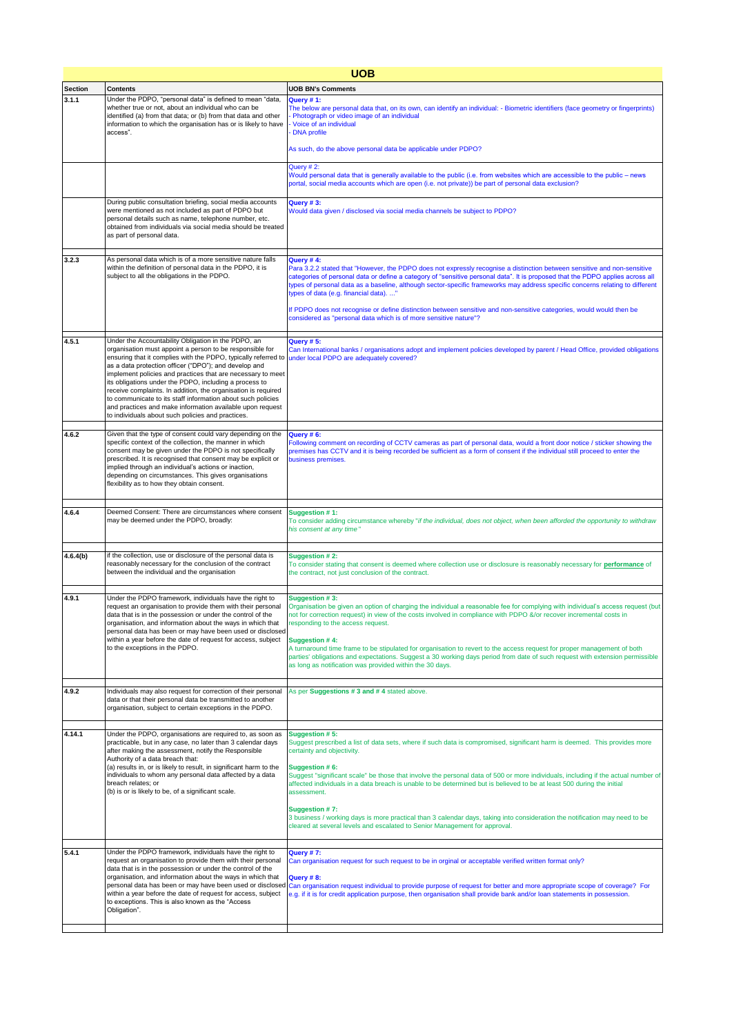| <b>UOB</b>     |                                                                                                                                                                                                                                                                                                                                                                                                                                                                                                                                                                                                                       |                                                                                                                                                                                                                                                                                                                                                                                                                                                                                                                                                                                                                                                                                                          |
|----------------|-----------------------------------------------------------------------------------------------------------------------------------------------------------------------------------------------------------------------------------------------------------------------------------------------------------------------------------------------------------------------------------------------------------------------------------------------------------------------------------------------------------------------------------------------------------------------------------------------------------------------|----------------------------------------------------------------------------------------------------------------------------------------------------------------------------------------------------------------------------------------------------------------------------------------------------------------------------------------------------------------------------------------------------------------------------------------------------------------------------------------------------------------------------------------------------------------------------------------------------------------------------------------------------------------------------------------------------------|
| <b>Section</b> | <b>Contents</b>                                                                                                                                                                                                                                                                                                                                                                                                                                                                                                                                                                                                       | <b>UOB BN's Comments</b>                                                                                                                                                                                                                                                                                                                                                                                                                                                                                                                                                                                                                                                                                 |
| 3.1.1          | Under the PDPO, "personal data" is defined to mean "data,<br>whether true or not, about an individual who can be<br>identified (a) from that data; or (b) from that data and other<br>information to which the organisation has or is likely to have<br>access".                                                                                                                                                                                                                                                                                                                                                      | Query #1:<br>The below are personal data that, on its own, can identify an individual: - Biometric identifiers (face geometry or fingerprints)<br>Photograph or video image of an individual<br>Voice of an individual<br><b>DNA</b> profile<br>As such, do the above personal data be applicable under PDPO?                                                                                                                                                                                                                                                                                                                                                                                            |
|                |                                                                                                                                                                                                                                                                                                                                                                                                                                                                                                                                                                                                                       | Query # 2:<br>Would personal data that is generally available to the public (i.e. from websites which are accessible to the public – news<br>portal, social media accounts which are open (i.e. not private)) be part of personal data exclusion?                                                                                                                                                                                                                                                                                                                                                                                                                                                        |
|                | During public consultation briefing, social media accounts<br>were mentioned as not included as part of PDPO but<br>personal details such as name, telephone number, etc.<br>obtained from individuals via social media should be treated<br>as part of personal data.                                                                                                                                                                                                                                                                                                                                                | Query #3:<br>Would data given / disclosed via social media channels be subject to PDPO?                                                                                                                                                                                                                                                                                                                                                                                                                                                                                                                                                                                                                  |
| 3.2.3          | As personal data which is of a more sensitive nature falls<br>within the definition of personal data in the PDPO, it is<br>subject to all the obligations in the PDPO.                                                                                                                                                                                                                                                                                                                                                                                                                                                | Query #4:<br>Para 3.2.2 stated that "However, the PDPO does not expressly recognise a distinction between sensitive and non-sensitive<br>categories of personal data or define a category of "sensitive personal data". It is proposed that the PDPO applies across all<br>types of personal data as a baseline, although sector-specific frameworks may address specific concerns relating to different<br>types of data (e.g. financial data)"<br>If PDPO does not recognise or define distinction between sensitive and non-sensitive categories, would would then be<br>considered as "personal data which is of more sensitive nature"?                                                             |
| 4.5.1          | Under the Accountability Obligation in the PDPO, an<br>organisation must appoint a person to be responsible for<br>ensuring that it complies with the PDPO, typically referred to<br>as a data protection officer ("DPO"); and develop and<br>implement policies and practices that are necessary to meet<br>its obligations under the PDPO, including a process to<br>receive complaints. In addition, the organisation is required<br>to communicate to its staff information about such policies<br>and practices and make information available upon request<br>to individuals about such policies and practices. | Query #5:<br>Can International banks / organisations adopt and implement policies developed by parent / Head Office, provided obligations<br>under local PDPO are adequately covered?                                                                                                                                                                                                                                                                                                                                                                                                                                                                                                                    |
| 4.6.2          | Given that the type of consent could vary depending on the<br>specific context of the collection, the manner in which<br>consent may be given under the PDPO is not specifically<br>prescribed. It is recognised that consent may be explicit or<br>implied through an individual's actions or inaction,<br>depending on circumstances. This gives organisations<br>flexibility as to how they obtain consent.                                                                                                                                                                                                        | Query #6:<br>Following comment on recording of CCTV cameras as part of personal data, would a front door notice / sticker showing the<br>premises has CCTV and it is being recorded be sufficient as a form of consent if the individual still proceed to enter the<br>business premises.                                                                                                                                                                                                                                                                                                                                                                                                                |
| 4.6.4          | Deemed Consent: There are circumstances where consent<br>may be deemed under the PDPO, broadly:                                                                                                                                                                                                                                                                                                                                                                                                                                                                                                                       | Suggestion #1:<br>To consider adding circumstance whereby "if the individual, does not object, when been afforded the opportunity to withdraw<br>his consent at any time"                                                                                                                                                                                                                                                                                                                                                                                                                                                                                                                                |
| 4.6.4(b)       | if the collection, use or disclosure of the personal data is<br>reasonably necessary for the conclusion of the contract<br>between the individual and the organisation                                                                                                                                                                                                                                                                                                                                                                                                                                                | Suggestion # 2:<br>To consider stating that consent is deemed where collection use or disclosure is reasonably necessary for <b>performance</b> of<br>the contract, not just conclusion of the contract.                                                                                                                                                                                                                                                                                                                                                                                                                                                                                                 |
| 4.9.1          | Under the PDPO framework, individuals have the right to<br>request an organisation to provide them with their personal<br>data that is in the possession or under the control of the<br>organisation, and information about the ways in which that<br>personal data has been or may have been used or disclosed<br>within a year before the date of request for access, subject<br>to the exceptions in the PDPO.                                                                                                                                                                                                     | Suggestion #3:<br>Organisation be given an option of charging the individual a reasonable fee for complying with individual's access request (but<br>not for correction request) in view of the costs involved in compliance with PDPO &/or recover incremental costs in<br>responding to the access request.<br>Suggestion #4:<br>A turnaround time frame to be stipulated for organisation to revert to the access request for proper management of both<br>parties' obligations and expectations. Suggest a 30 working days period from date of such request with extension permissible<br>as long as notification was provided within the 30 days.                                                   |
| 4.9.2          | Individuals may also request for correction of their personal<br>data or that their personal data be transmitted to another<br>organisation, subject to certain exceptions in the PDPO.                                                                                                                                                                                                                                                                                                                                                                                                                               | As per Suggestions #3 and #4 stated above.                                                                                                                                                                                                                                                                                                                                                                                                                                                                                                                                                                                                                                                               |
| 4.14.1         | Under the PDPO, organisations are required to, as soon as<br>practicable, but in any case, no later than 3 calendar days<br>after making the assessment, notify the Responsible<br>Authority of a data breach that:<br>(a) results in, or is likely to result, in significant harm to the<br>individuals to whom any personal data affected by a data<br>breach relates; or<br>(b) is or is likely to be, of a significant scale.                                                                                                                                                                                     | Suggestion #5:<br>Suggest prescribed a list of data sets, where if such data is compromised, significant harm is deemed. This provides more<br>certainty and objectivity.<br>Suggestion #6:<br>Suggest "significant scale" be those that involve the personal data of 500 or more individuals, including if the actual number of<br>affected individuals in a data breach is unable to be determined but is believed to be at least 500 during the initial<br>assessment.<br>Suggestion #7:<br>3 business / working days is more practical than 3 calendar days, taking into consideration the notification may need to be<br>cleared at several levels and escalated to Senior Management for approval. |
| 5.4.1          | Under the PDPO framework, individuals have the right to<br>request an organisation to provide them with their personal<br>data that is in the possession or under the control of the<br>organisation, and information about the ways in which that<br>personal data has been or may have been used or disclosed<br>within a year before the date of request for access, subject<br>to exceptions. This is also known as the "Access<br>Obligation".                                                                                                                                                                   | Query #7:<br>Can organisation request for such request to be in orginal or acceptable verified written format only?<br>Query #8:<br>Can organisation request individual to provide purpose of request for better and more appropriate scope of coverage? For<br>e.g. if it is for credit application purpose, then organisation shall provide bank and/or loan statements in possession.                                                                                                                                                                                                                                                                                                                 |